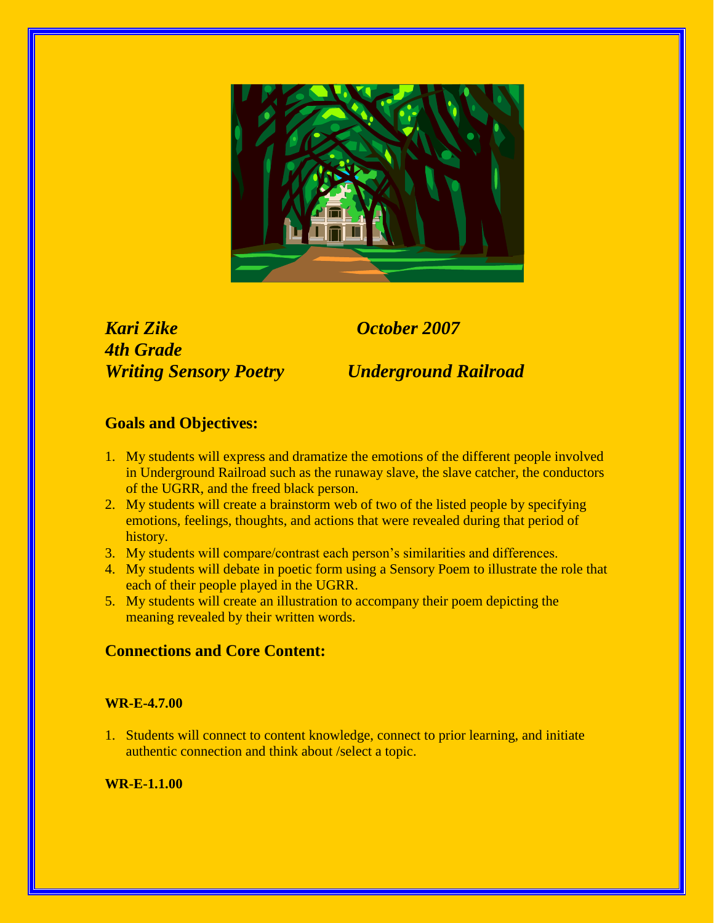

*Kari Zike October 2007 4th Grade Writing Sensory Poetry Underground Railroad*

# **Goals and Objectives:**

- 1. My students will express and dramatize the emotions of the different people involved in Underground Railroad such as the runaway slave, the slave catcher, the conductors of the UGRR, and the freed black person.
- 2. My students will create a brainstorm web of two of the listed people by specifying emotions, feelings, thoughts, and actions that were revealed during that period of history.
- 3. My students will compare/contrast each person's similarities and differences.
- 4. My students will debate in poetic form using a Sensory Poem to illustrate the role that each of their people played in the UGRR.
- 5. My students will create an illustration to accompany their poem depicting the meaning revealed by their written words.

# **Connections and Core Content:**

## **WR-E-4.7.00**

1. Students will connect to content knowledge, connect to prior learning, and initiate authentic connection and think about /select a topic.

## **WR-E-1.1.00**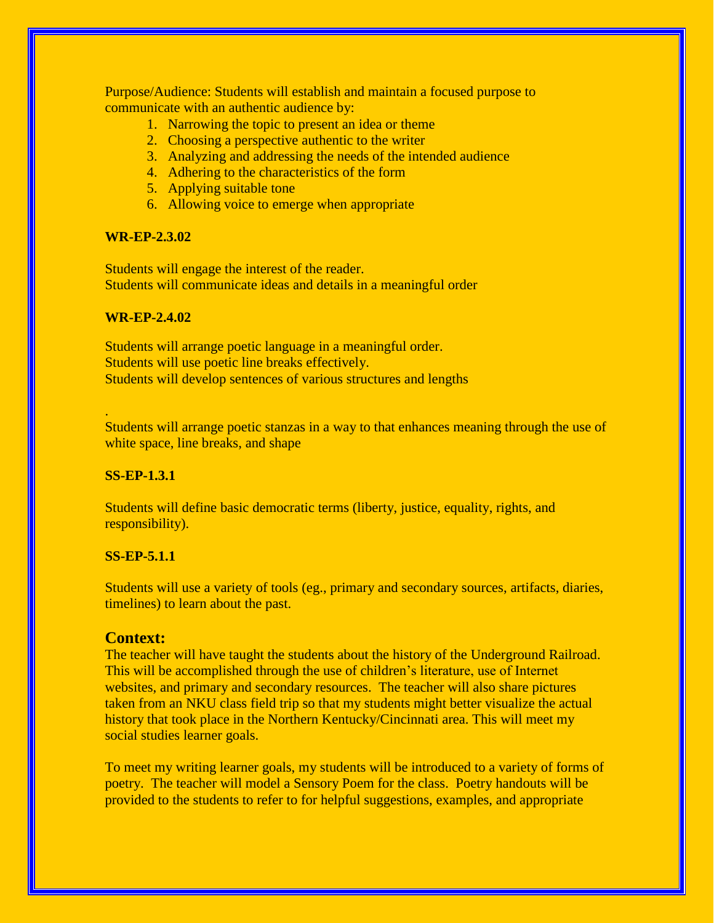Purpose/Audience: Students will establish and maintain a focused purpose to communicate with an authentic audience by:

- 1. Narrowing the topic to present an idea or theme
- 2. Choosing a perspective authentic to the writer
- 3. Analyzing and addressing the needs of the intended audience
- 4. Adhering to the characteristics of the form
- 5. Applying suitable tone
- 6. Allowing voice to emerge when appropriate

#### **WR-EP-2.3.02**

Students will engage the interest of the reader. Students will communicate ideas and details in a meaningful order

#### **WR-EP-2.4.02**

Students will arrange poetic language in a meaningful order. Students will use poetic line breaks effectively. Students will develop sentences of various structures and lengths

Students will arrange poetic stanzas in a way to that enhances meaning through the use of white space, line breaks, and shape

#### **SS-EP-1.3.1**

.

Students will define basic democratic terms (liberty, justice, equality, rights, and responsibility).

#### **SS-EP-5.1.1**

Students will use a variety of tools (eg., primary and secondary sources, artifacts, diaries, timelines) to learn about the past.

#### **Context:**

The teacher will have taught the students about the history of the Underground Railroad. This will be accomplished through the use of children's literature, use of Internet websites, and primary and secondary resources. The teacher will also share pictures taken from an NKU class field trip so that my students might better visualize the actual history that took place in the Northern Kentucky/Cincinnati area. This will meet my social studies learner goals.

To meet my writing learner goals, my students will be introduced to a variety of forms of poetry. The teacher will model a Sensory Poem for the class. Poetry handouts will be provided to the students to refer to for helpful suggestions, examples, and appropriate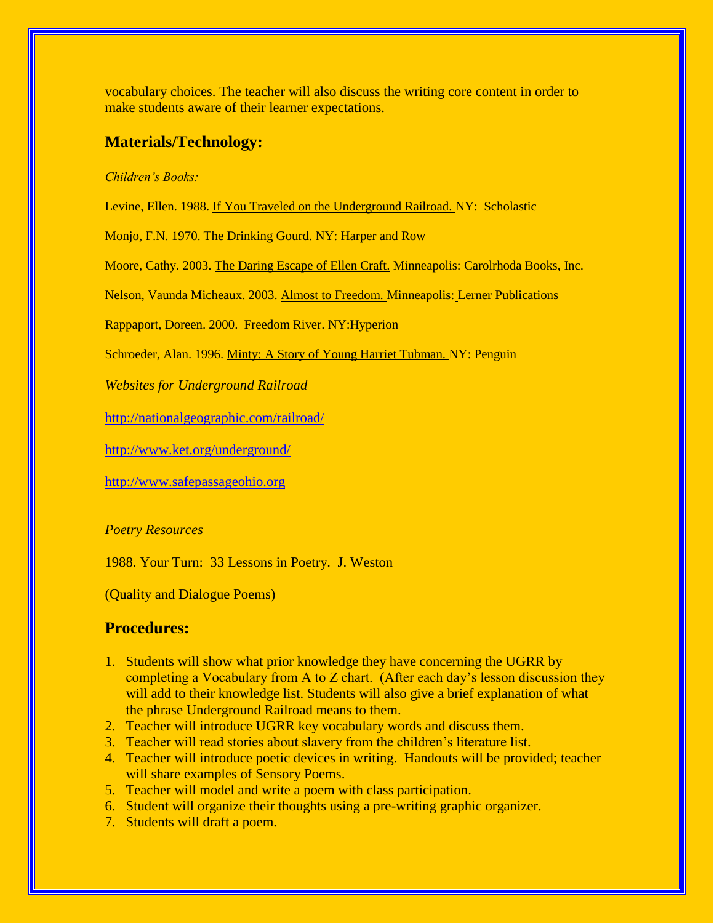vocabulary choices. The teacher will also discuss the writing core content in order to make students aware of their learner expectations.

## **Materials/Technology:**

#### *Children's Books:*

Levine, Ellen. 1988. If You Traveled on the Underground Railroad. NY: Scholastic

Monjo, F.N. 1970. The Drinking Gourd. NY: Harper and Row

Moore, Cathy. 2003. The Daring Escape of Ellen Craft. Minneapolis: Carolrhoda Books, Inc.

Nelson, Vaunda Micheaux. 2003. Almost to Freedom. Minneapolis: Lerner Publications

Rappaport, Doreen. 2000. Freedom River. NY:Hyperion

Schroeder, Alan. 1996. Minty: A Story of Young Harriet Tubman. NY: Penguin

*Websites for Underground Railroad*

<http://nationalgeographic.com/railroad/>

<http://www.ket.org/underground/>

[http://www.safepassageohio.org](http://www.safepassageohio.org/)

#### *Poetry Resources*

1988. Your Turn: 33 Lessons in Poetry. J. Weston

(Quality and Dialogue Poems)

## **Procedures:**

- 1. Students will show what prior knowledge they have concerning the UGRR by completing a Vocabulary from A to Z chart. (After each day's lesson discussion they will add to their knowledge list. Students will also give a brief explanation of what the phrase Underground Railroad means to them.
- 2. Teacher will introduce UGRR key vocabulary words and discuss them.
- 3. Teacher will read stories about slavery from the children's literature list.
- 4. Teacher will introduce poetic devices in writing. Handouts will be provided; teacher will share examples of Sensory Poems.
- 5. Teacher will model and write a poem with class participation.
- 6. Student will organize their thoughts using a pre-writing graphic organizer.
- 7. Students will draft a poem.